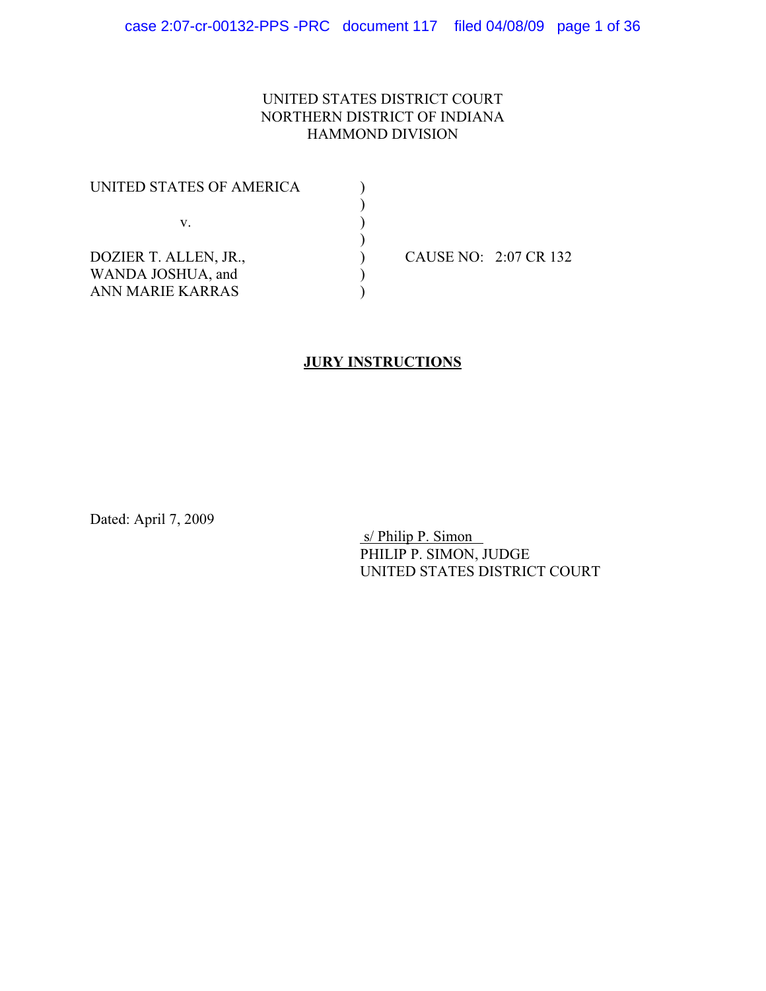## UNITED STATES DISTRICT COURT NORTHERN DISTRICT OF INDIANA HAMMOND DIVISION

| UNITED STATES OF AMERICA |  |                       |
|--------------------------|--|-----------------------|
|                          |  |                       |
| v.                       |  |                       |
|                          |  |                       |
| DOZIER T. ALLEN, JR.,    |  | CAUSE NO: 2:07 CR 132 |
| WANDA JOSHUA, and        |  |                       |
| ANN MARIE KARRAS         |  |                       |

## **JURY INSTRUCTIONS**

Dated: April 7, 2009

 s/ Philip P. Simon PHILIP P. SIMON, JUDGE UNITED STATES DISTRICT COURT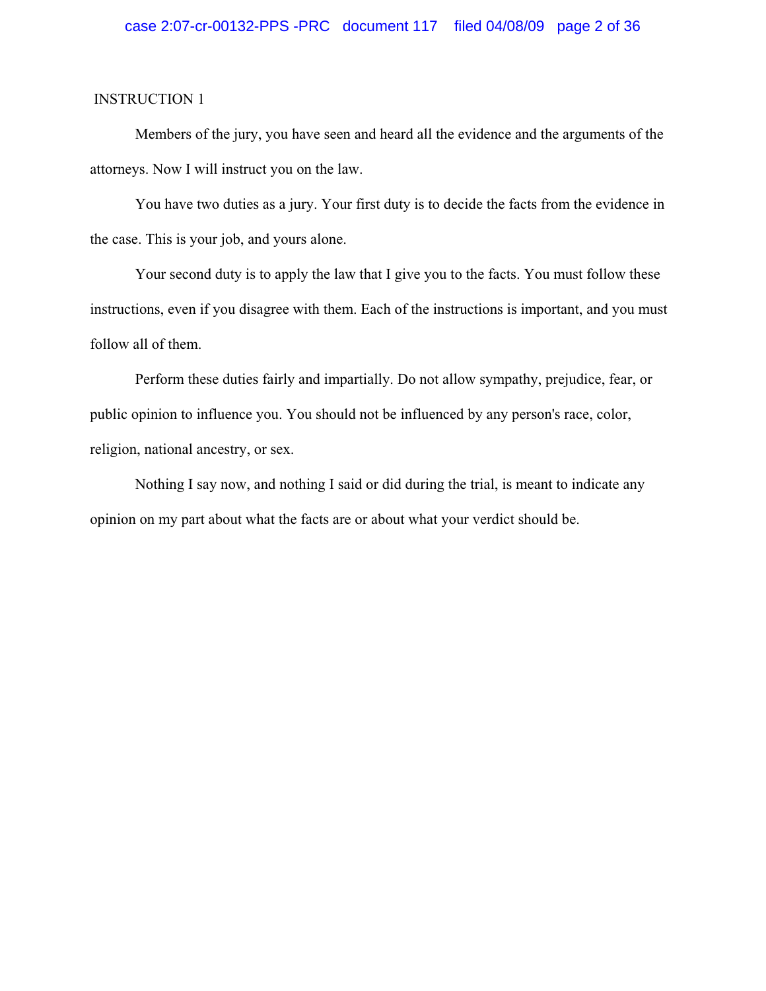Members of the jury, you have seen and heard all the evidence and the arguments of the attorneys. Now I will instruct you on the law.

You have two duties as a jury. Your first duty is to decide the facts from the evidence in the case. This is your job, and yours alone.

Your second duty is to apply the law that I give you to the facts. You must follow these instructions, even if you disagree with them. Each of the instructions is important, and you must follow all of them.

Perform these duties fairly and impartially. Do not allow sympathy, prejudice, fear, or public opinion to influence you. You should not be influenced by any person's race, color, religion, national ancestry, or sex.

Nothing I say now, and nothing I said or did during the trial, is meant to indicate any opinion on my part about what the facts are or about what your verdict should be.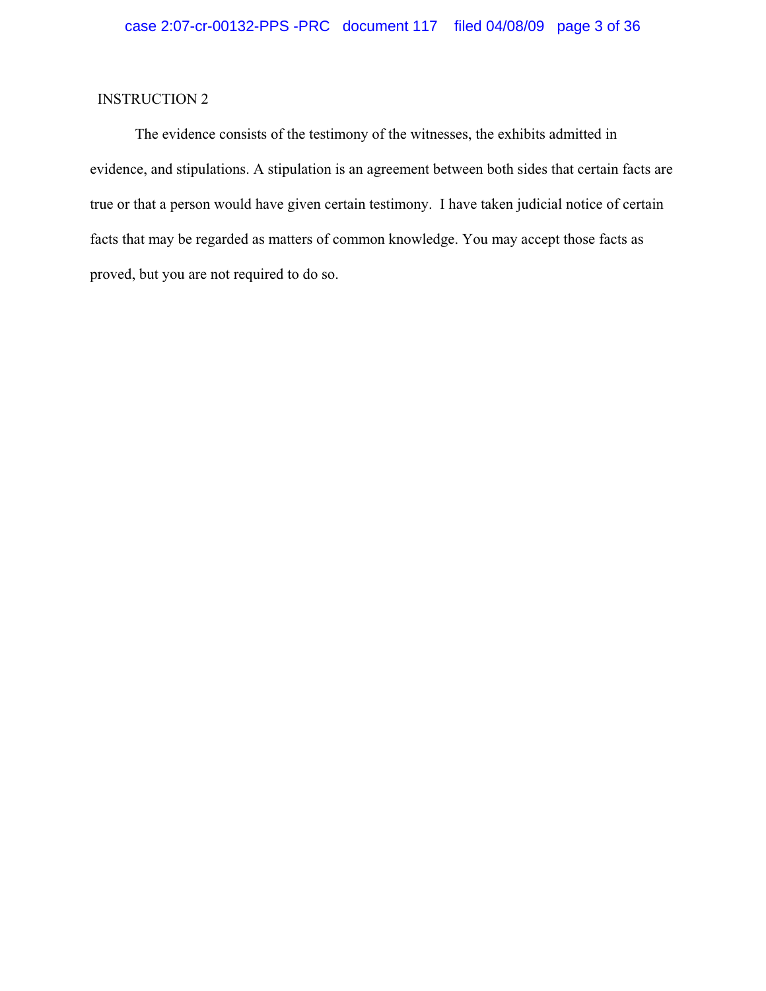The evidence consists of the testimony of the witnesses, the exhibits admitted in evidence, and stipulations. A stipulation is an agreement between both sides that certain facts are true or that a person would have given certain testimony. I have taken judicial notice of certain facts that may be regarded as matters of common knowledge. You may accept those facts as proved, but you are not required to do so.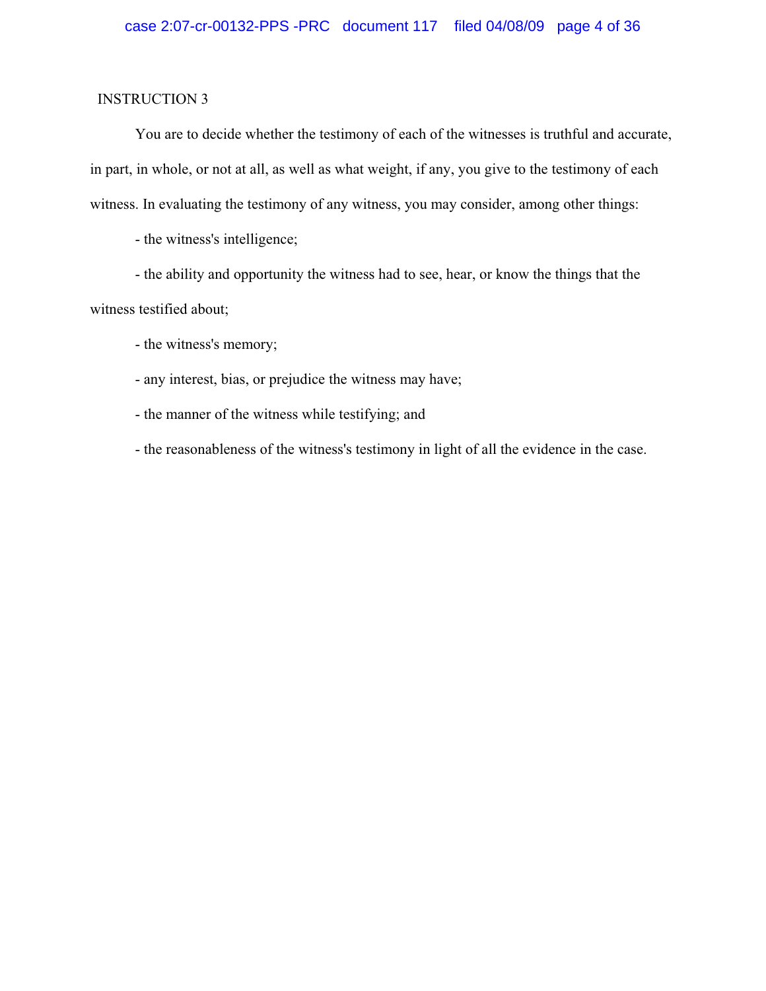You are to decide whether the testimony of each of the witnesses is truthful and accurate, in part, in whole, or not at all, as well as what weight, if any, you give to the testimony of each witness. In evaluating the testimony of any witness, you may consider, among other things:

- the witness's intelligence;

- the ability and opportunity the witness had to see, hear, or know the things that the witness testified about;

- the witness's memory;

- any interest, bias, or prejudice the witness may have;

- the manner of the witness while testifying; and

- the reasonableness of the witness's testimony in light of all the evidence in the case.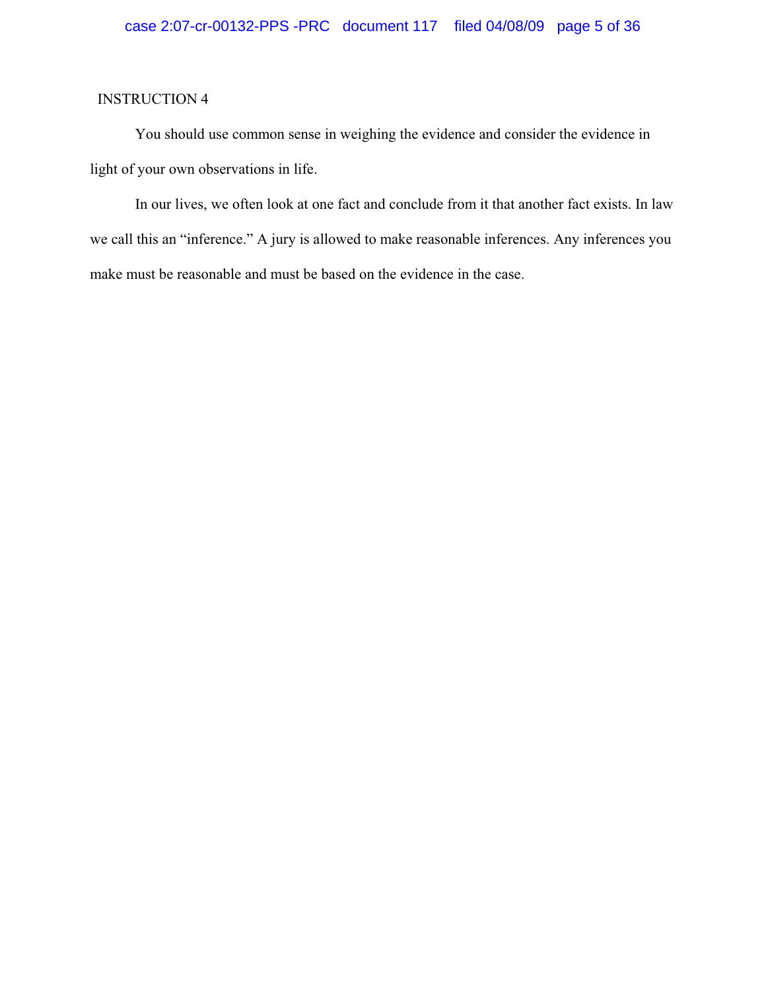You should use common sense in weighing the evidence and consider the evidence in light of your own observations in life.

In our lives, we often look at one fact and conclude from it that another fact exists. In law we call this an "inference." A jury is allowed to make reasonable inferences. Any inferences you make must be reasonable and must be based on the evidence in the case.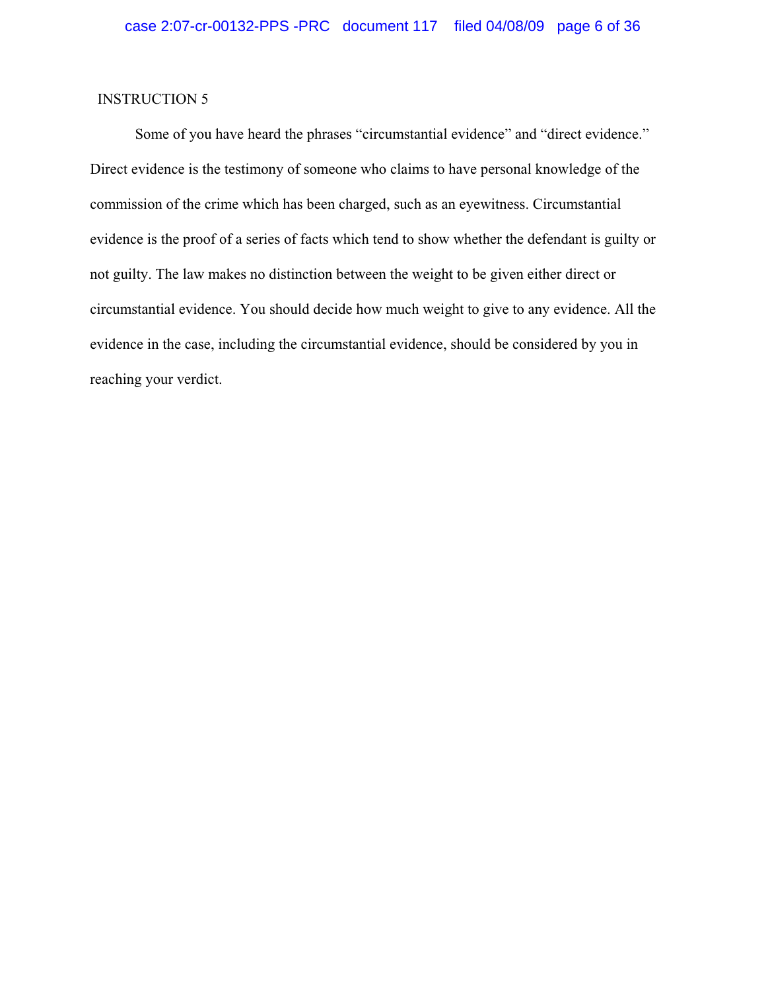Some of you have heard the phrases "circumstantial evidence" and "direct evidence." Direct evidence is the testimony of someone who claims to have personal knowledge of the commission of the crime which has been charged, such as an eyewitness. Circumstantial evidence is the proof of a series of facts which tend to show whether the defendant is guilty or not guilty. The law makes no distinction between the weight to be given either direct or circumstantial evidence. You should decide how much weight to give to any evidence. All the evidence in the case, including the circumstantial evidence, should be considered by you in reaching your verdict.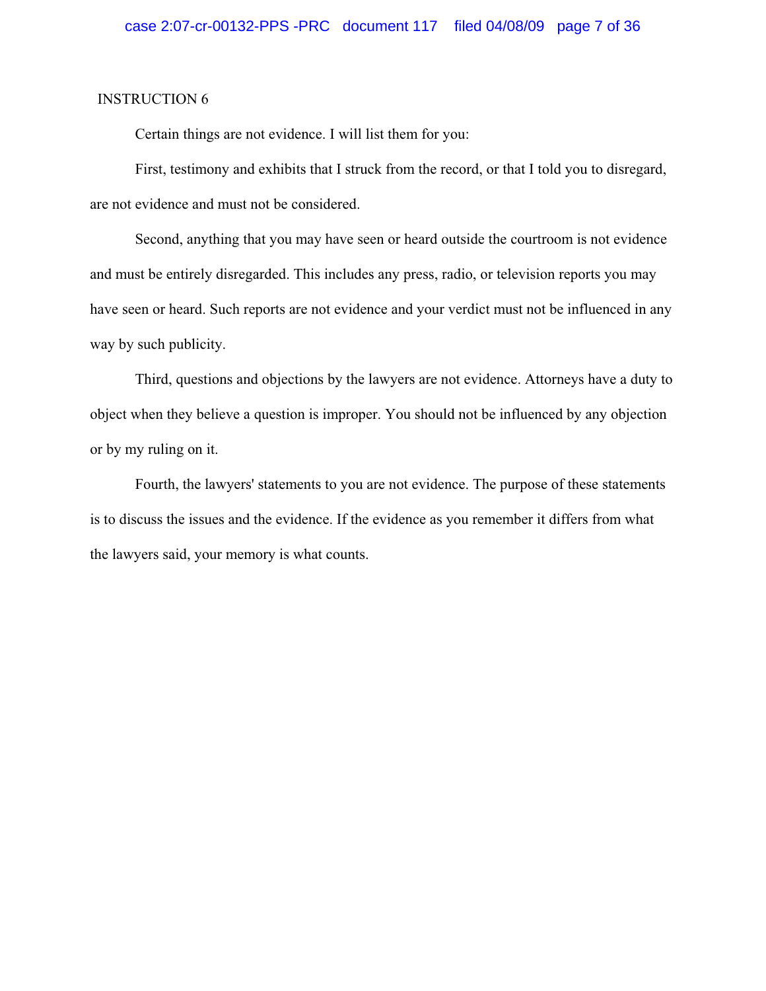Certain things are not evidence. I will list them for you:

First, testimony and exhibits that I struck from the record, or that I told you to disregard, are not evidence and must not be considered.

Second, anything that you may have seen or heard outside the courtroom is not evidence and must be entirely disregarded. This includes any press, radio, or television reports you may have seen or heard. Such reports are not evidence and your verdict must not be influenced in any way by such publicity.

Third, questions and objections by the lawyers are not evidence. Attorneys have a duty to object when they believe a question is improper. You should not be influenced by any objection or by my ruling on it.

Fourth, the lawyers' statements to you are not evidence. The purpose of these statements is to discuss the issues and the evidence. If the evidence as you remember it differs from what the lawyers said, your memory is what counts.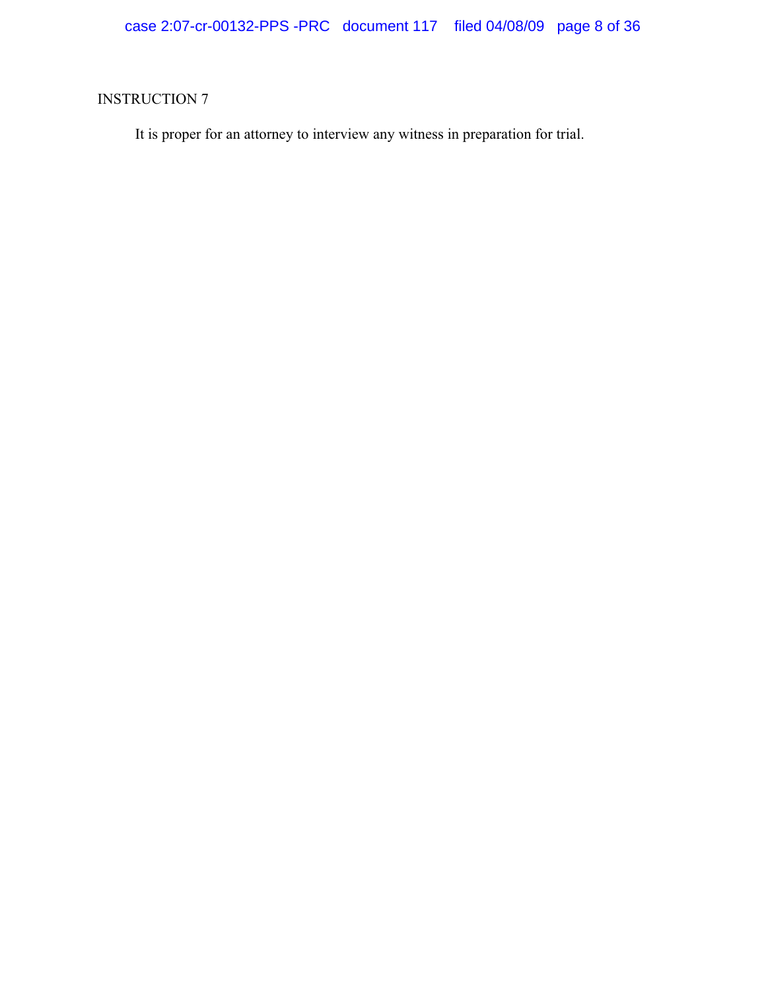It is proper for an attorney to interview any witness in preparation for trial.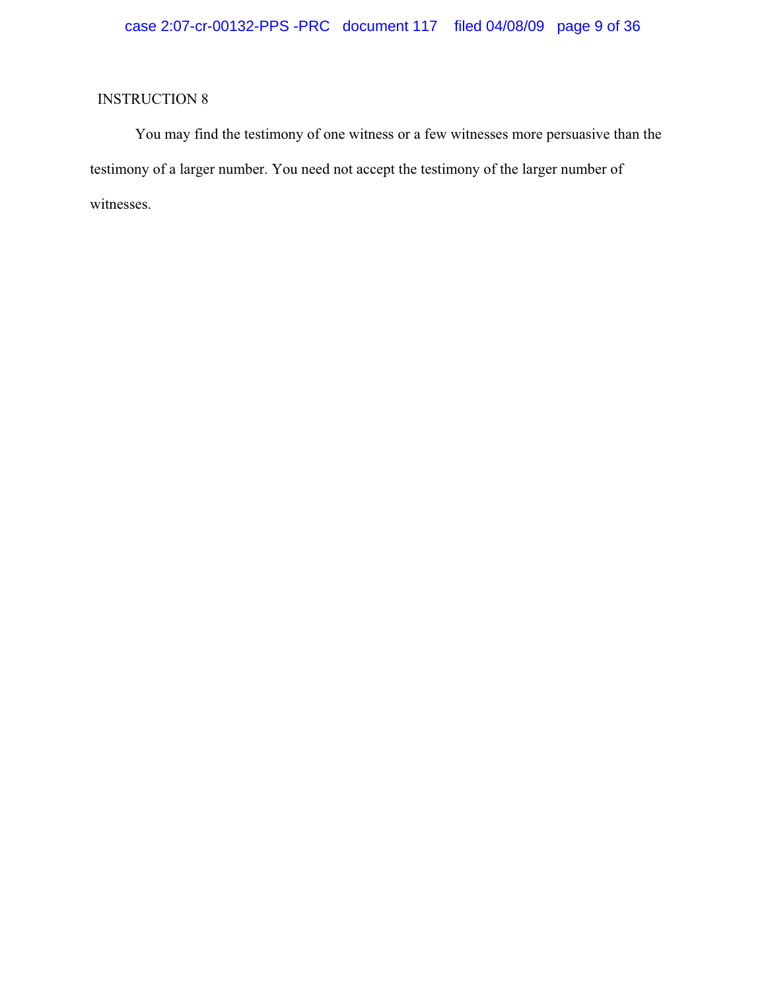You may find the testimony of one witness or a few witnesses more persuasive than the testimony of a larger number. You need not accept the testimony of the larger number of witnesses.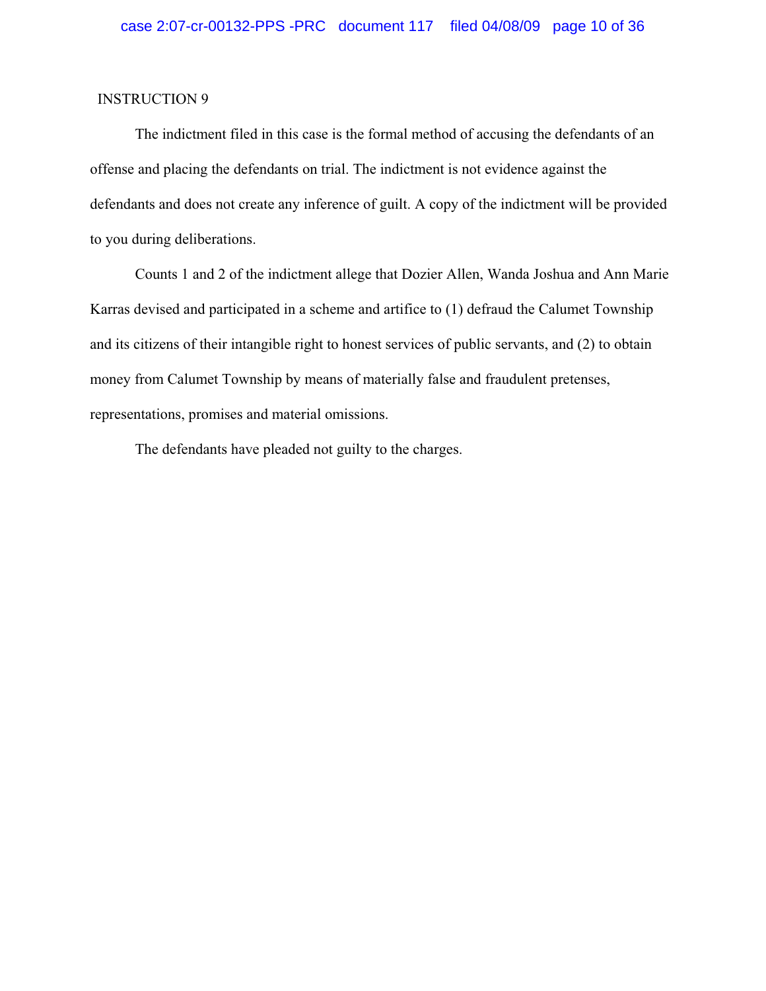The indictment filed in this case is the formal method of accusing the defendants of an offense and placing the defendants on trial. The indictment is not evidence against the defendants and does not create any inference of guilt. A copy of the indictment will be provided to you during deliberations.

Counts 1 and 2 of the indictment allege that Dozier Allen, Wanda Joshua and Ann Marie Karras devised and participated in a scheme and artifice to (1) defraud the Calumet Township and its citizens of their intangible right to honest services of public servants, and (2) to obtain money from Calumet Township by means of materially false and fraudulent pretenses, representations, promises and material omissions.

The defendants have pleaded not guilty to the charges.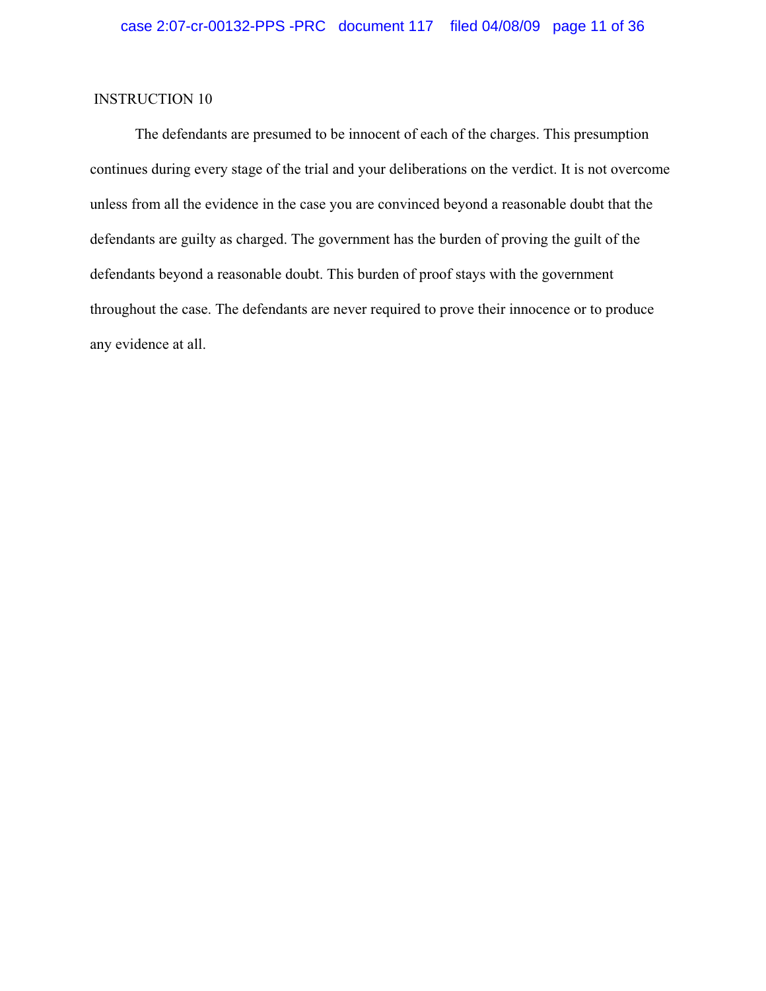The defendants are presumed to be innocent of each of the charges. This presumption continues during every stage of the trial and your deliberations on the verdict. It is not overcome unless from all the evidence in the case you are convinced beyond a reasonable doubt that the defendants are guilty as charged. The government has the burden of proving the guilt of the defendants beyond a reasonable doubt. This burden of proof stays with the government throughout the case. The defendants are never required to prove their innocence or to produce any evidence at all.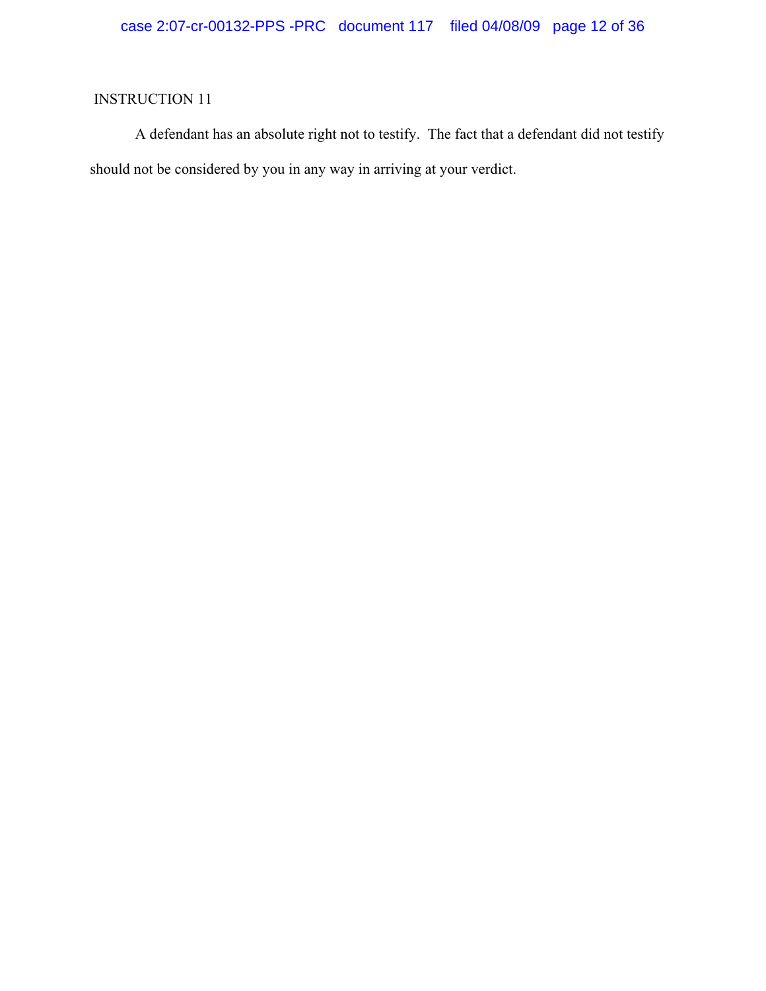A defendant has an absolute right not to testify. The fact that a defendant did not testify should not be considered by you in any way in arriving at your verdict.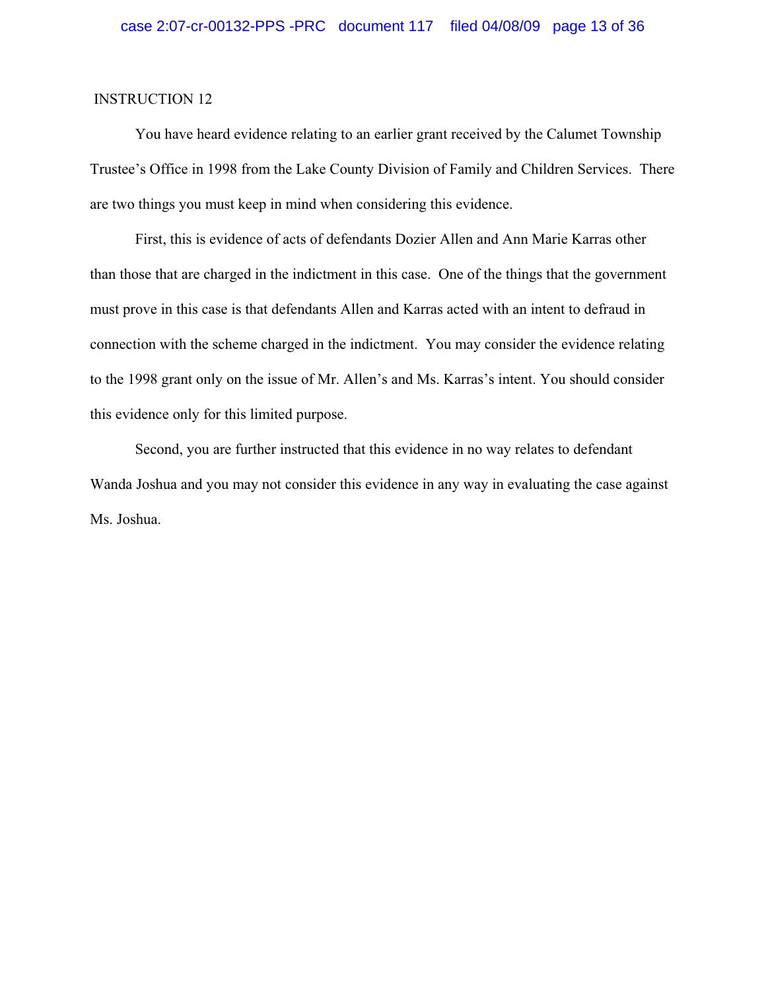You have heard evidence relating to an earlier grant received by the Calumet Township Trustee's Office in 1998 from the Lake County Division of Family and Children Services. There are two things you must keep in mind when considering this evidence.

First, this is evidence of acts of defendants Dozier Allen and Ann Marie Karras other than those that are charged in the indictment in this case. One of the things that the government must prove in this case is that defendants Allen and Karras acted with an intent to defraud in connection with the scheme charged in the indictment. You may consider the evidence relating to the 1998 grant only on the issue of Mr. Allen's and Ms. Karras's intent. You should consider this evidence only for this limited purpose.

Second, you are further instructed that this evidence in no way relates to defendant Wanda Joshua and you may not consider this evidence in any way in evaluating the case against Ms. Joshua.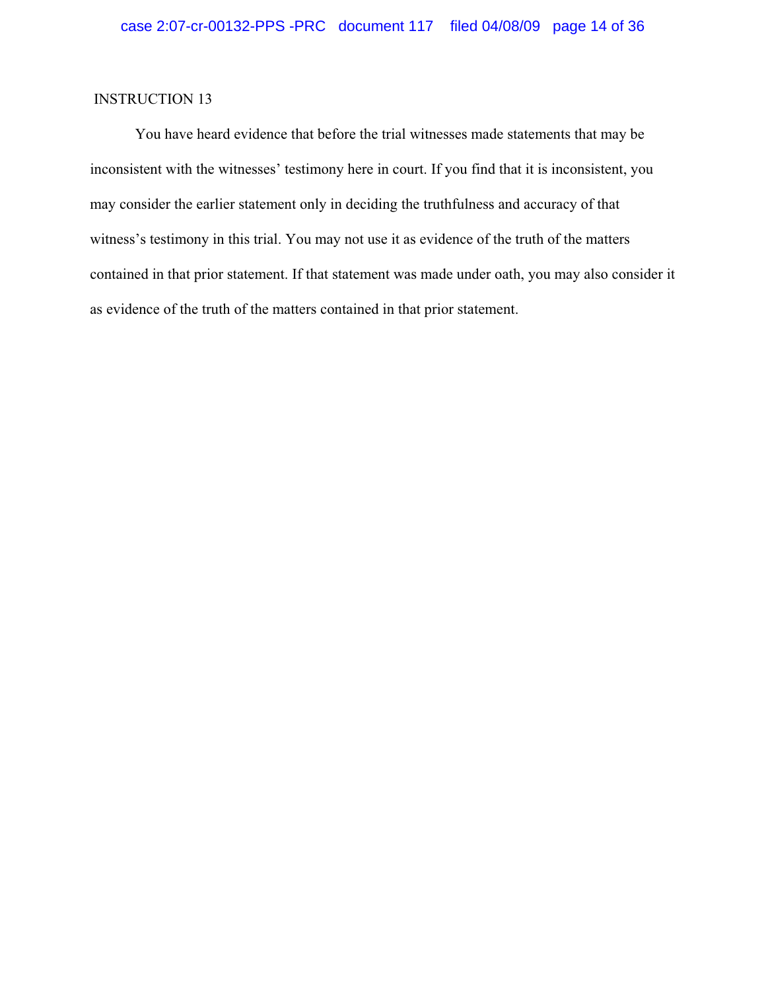You have heard evidence that before the trial witnesses made statements that may be inconsistent with the witnesses' testimony here in court. If you find that it is inconsistent, you may consider the earlier statement only in deciding the truthfulness and accuracy of that witness's testimony in this trial. You may not use it as evidence of the truth of the matters contained in that prior statement. If that statement was made under oath, you may also consider it as evidence of the truth of the matters contained in that prior statement.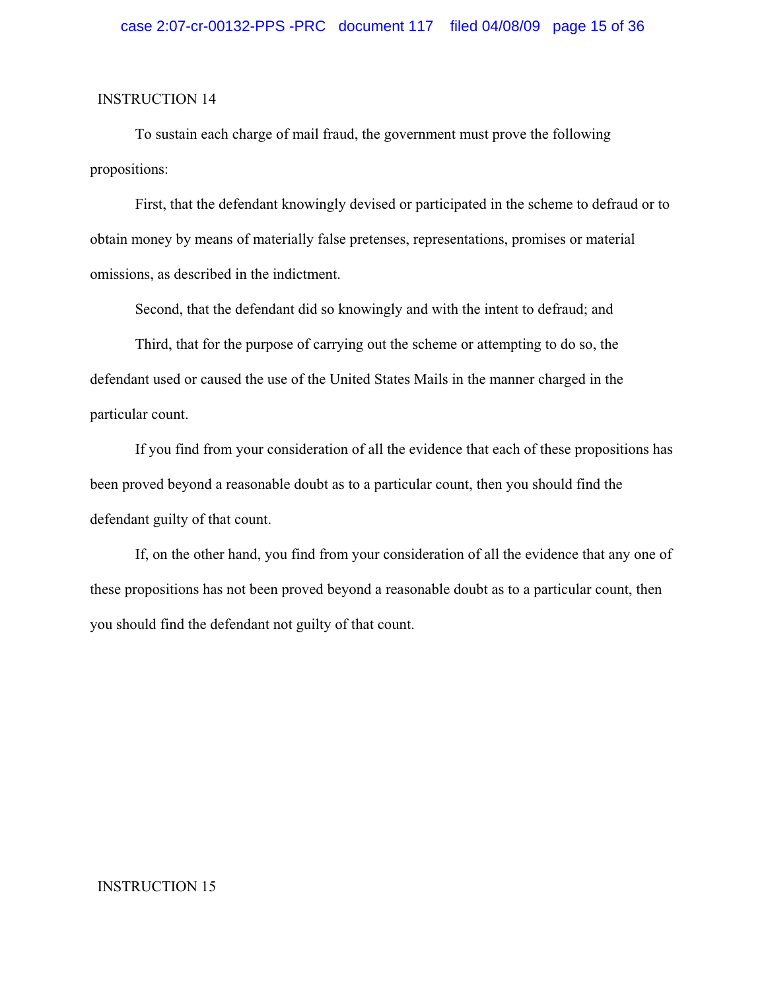To sustain each charge of mail fraud, the government must prove the following propositions:

First, that the defendant knowingly devised or participated in the scheme to defraud or to obtain money by means of materially false pretenses, representations, promises or material omissions, as described in the indictment.

Second, that the defendant did so knowingly and with the intent to defraud; and

Third, that for the purpose of carrying out the scheme or attempting to do so, the defendant used or caused the use of the United States Mails in the manner charged in the particular count.

If you find from your consideration of all the evidence that each of these propositions has been proved beyond a reasonable doubt as to a particular count, then you should find the defendant guilty of that count.

If, on the other hand, you find from your consideration of all the evidence that any one of these propositions has not been proved beyond a reasonable doubt as to a particular count, then you should find the defendant not guilty of that count.

#### INSTRUCTION 15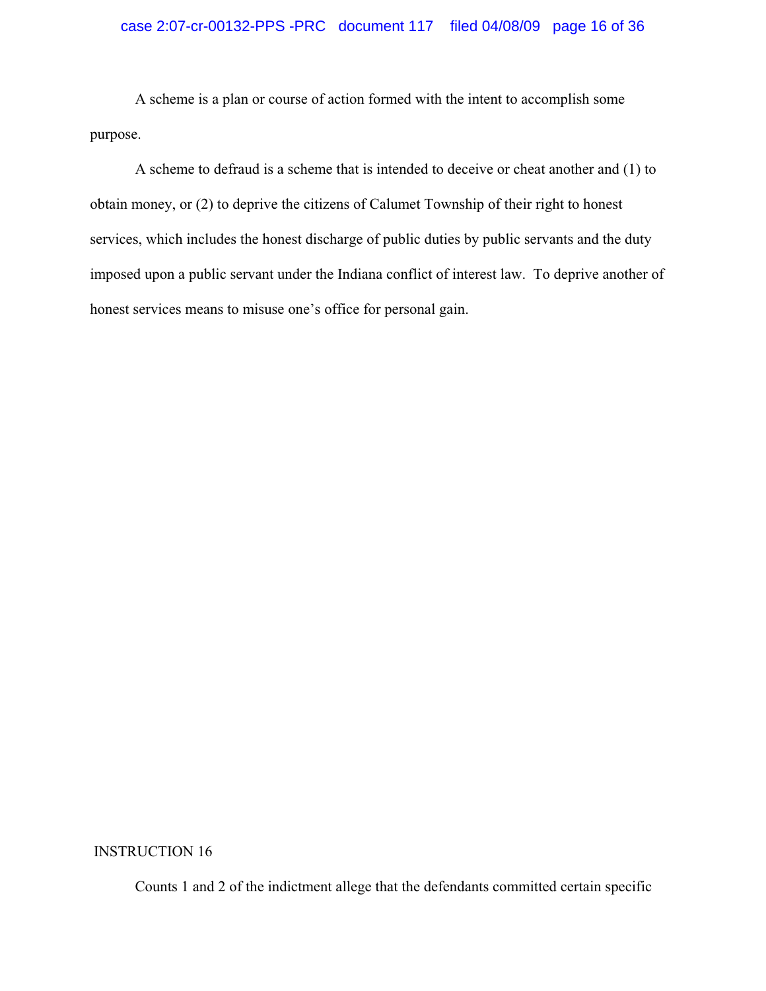## case 2:07-cr-00132-PPS -PRC document 117 filed 04/08/09 page 16 of 36

A scheme is a plan or course of action formed with the intent to accomplish some purpose.

A scheme to defraud is a scheme that is intended to deceive or cheat another and (1) to obtain money, or (2) to deprive the citizens of Calumet Township of their right to honest services, which includes the honest discharge of public duties by public servants and the duty imposed upon a public servant under the Indiana conflict of interest law. To deprive another of honest services means to misuse one's office for personal gain.

INSTRUCTION 16

Counts 1 and 2 of the indictment allege that the defendants committed certain specific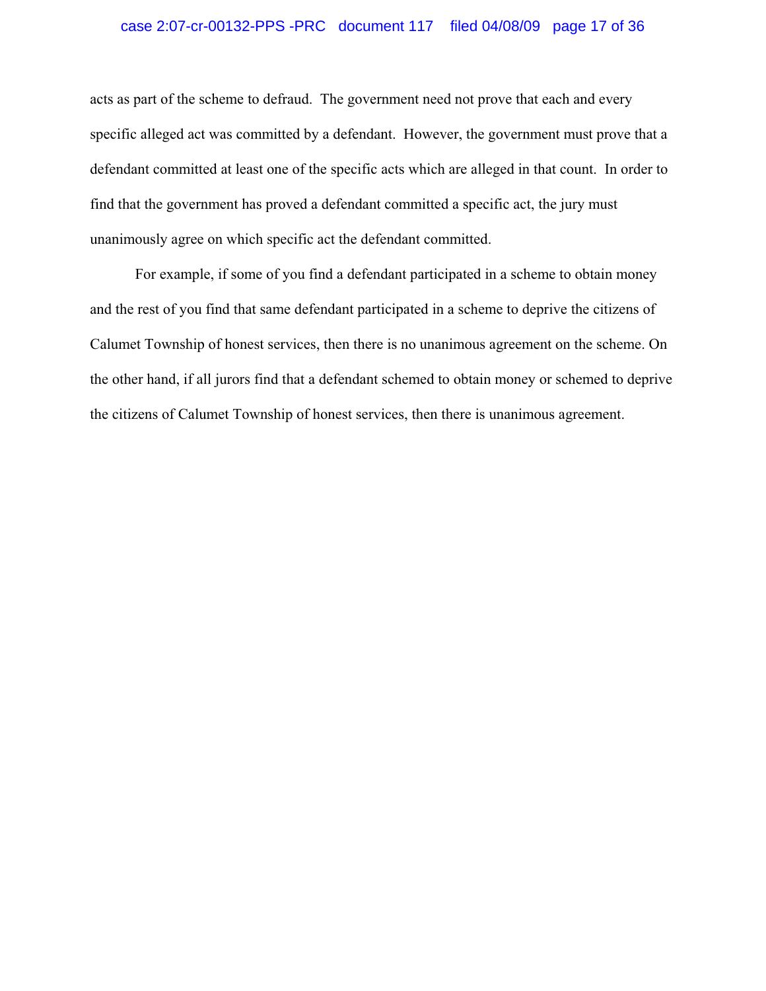## case 2:07-cr-00132-PPS -PRC document 117 filed 04/08/09 page 17 of 36

acts as part of the scheme to defraud. The government need not prove that each and every specific alleged act was committed by a defendant. However, the government must prove that a defendant committed at least one of the specific acts which are alleged in that count. In order to find that the government has proved a defendant committed a specific act, the jury must unanimously agree on which specific act the defendant committed.

For example, if some of you find a defendant participated in a scheme to obtain money and the rest of you find that same defendant participated in a scheme to deprive the citizens of Calumet Township of honest services, then there is no unanimous agreement on the scheme. On the other hand, if all jurors find that a defendant schemed to obtain money or schemed to deprive the citizens of Calumet Township of honest services, then there is unanimous agreement.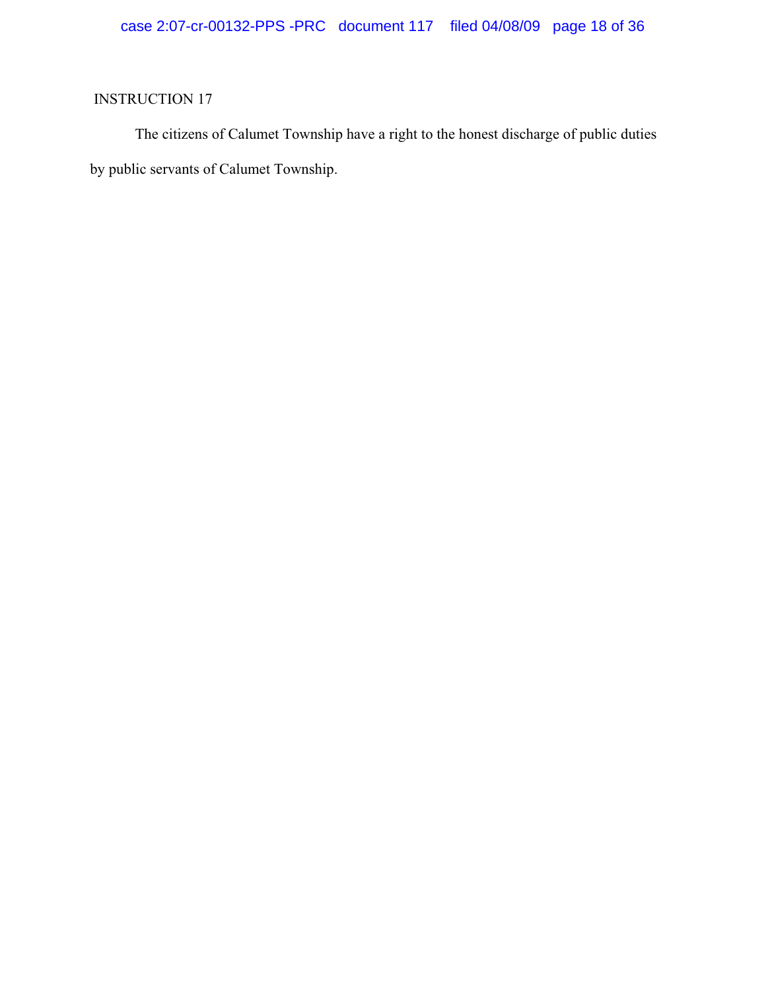The citizens of Calumet Township have a right to the honest discharge of public duties by public servants of Calumet Township.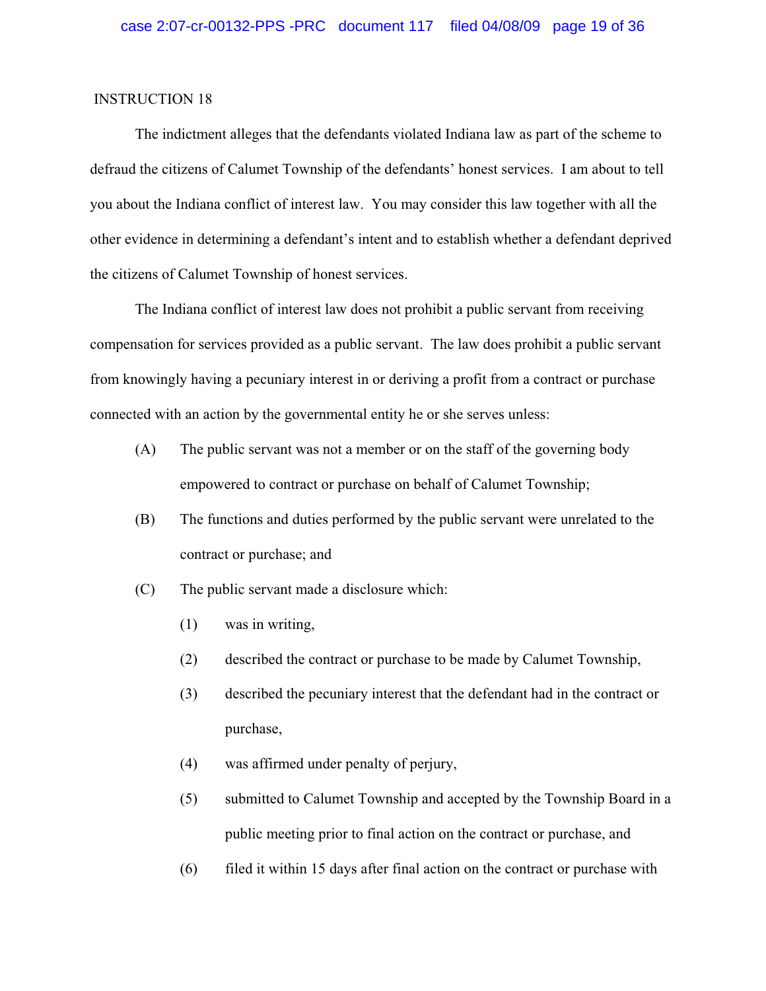The indictment alleges that the defendants violated Indiana law as part of the scheme to defraud the citizens of Calumet Township of the defendants' honest services. I am about to tell you about the Indiana conflict of interest law. You may consider this law together with all the other evidence in determining a defendant's intent and to establish whether a defendant deprived the citizens of Calumet Township of honest services.

The Indiana conflict of interest law does not prohibit a public servant from receiving compensation for services provided as a public servant. The law does prohibit a public servant from knowingly having a pecuniary interest in or deriving a profit from a contract or purchase connected with an action by the governmental entity he or she serves unless:

- (A) The public servant was not a member or on the staff of the governing body empowered to contract or purchase on behalf of Calumet Township;
- (B) The functions and duties performed by the public servant were unrelated to the contract or purchase; and
- (C) The public servant made a disclosure which:
	- (1) was in writing,
	- (2) described the contract or purchase to be made by Calumet Township,
	- (3) described the pecuniary interest that the defendant had in the contract or purchase,
	- (4) was affirmed under penalty of perjury,
	- (5) submitted to Calumet Township and accepted by the Township Board in a public meeting prior to final action on the contract or purchase, and
	- (6) filed it within 15 days after final action on the contract or purchase with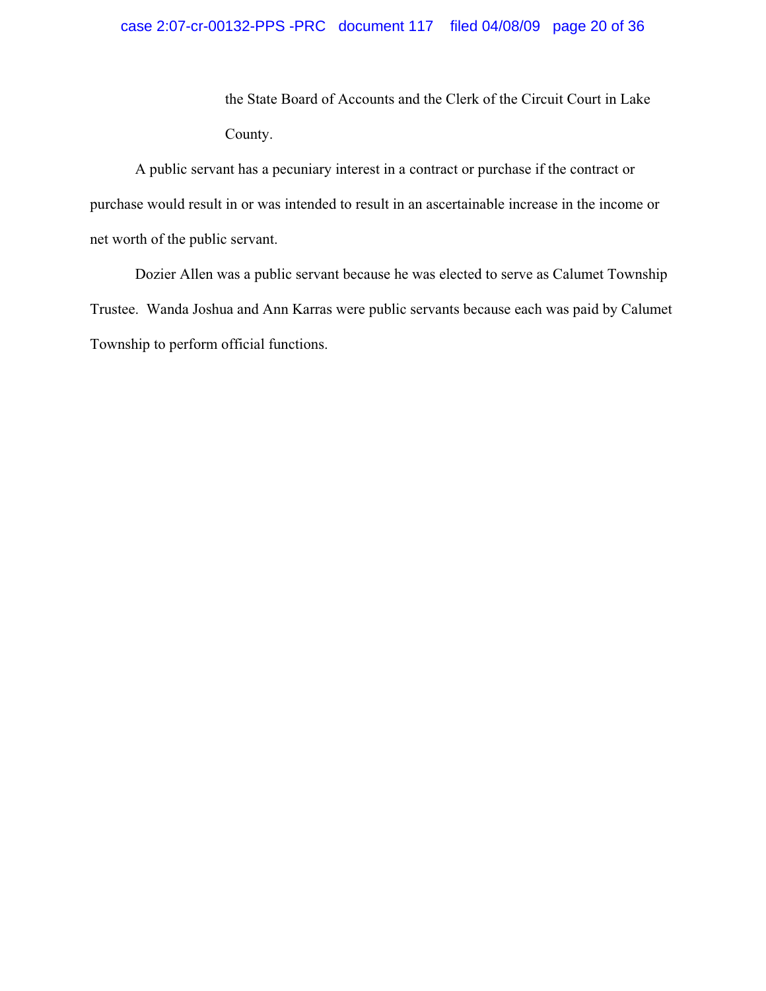the State Board of Accounts and the Clerk of the Circuit Court in Lake County.

A public servant has a pecuniary interest in a contract or purchase if the contract or purchase would result in or was intended to result in an ascertainable increase in the income or net worth of the public servant.

Dozier Allen was a public servant because he was elected to serve as Calumet Township Trustee. Wanda Joshua and Ann Karras were public servants because each was paid by Calumet Township to perform official functions.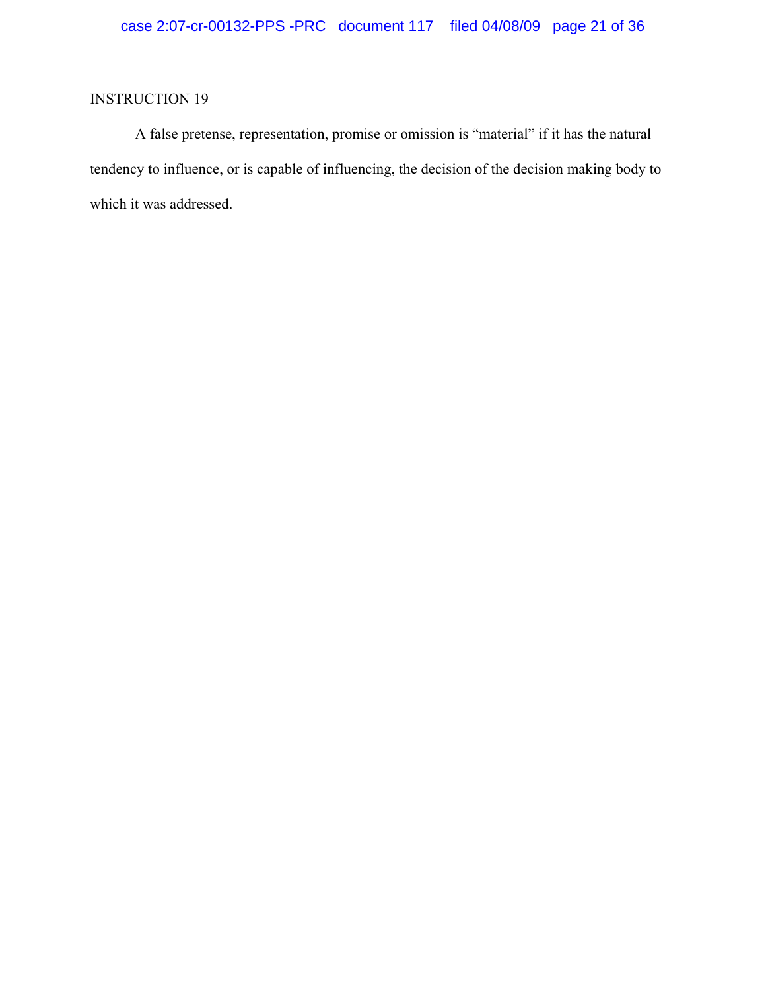A false pretense, representation, promise or omission is "material" if it has the natural tendency to influence, or is capable of influencing, the decision of the decision making body to which it was addressed.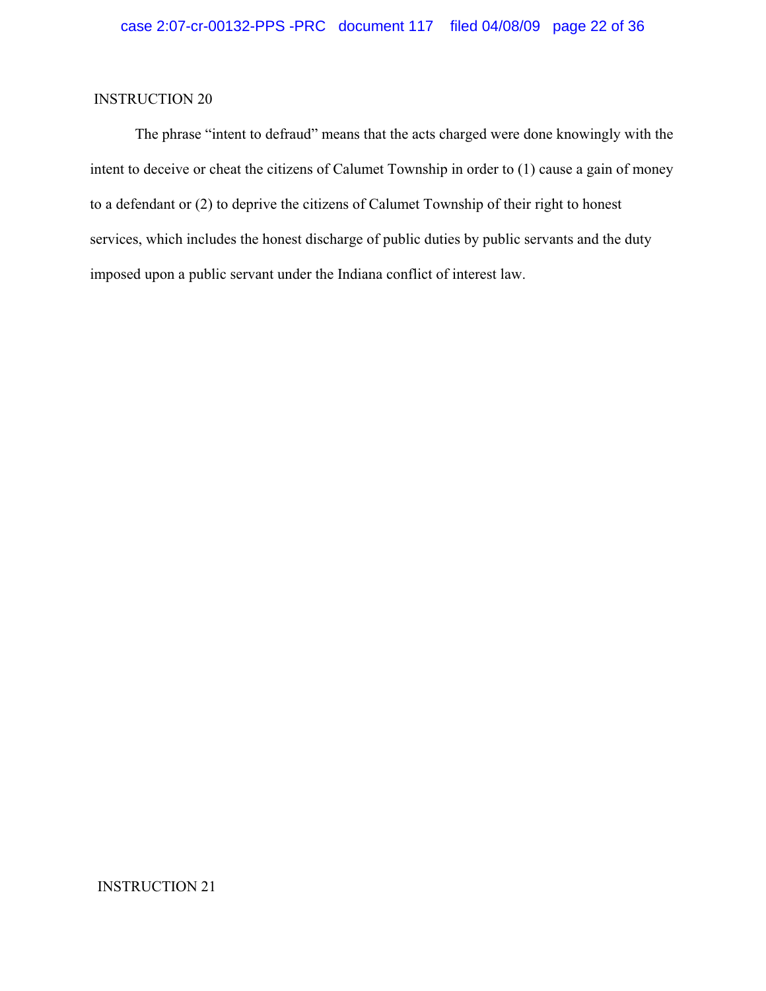The phrase "intent to defraud" means that the acts charged were done knowingly with the intent to deceive or cheat the citizens of Calumet Township in order to (1) cause a gain of money to a defendant or (2) to deprive the citizens of Calumet Township of their right to honest services, which includes the honest discharge of public duties by public servants and the duty imposed upon a public servant under the Indiana conflict of interest law.

#### INSTRUCTION 21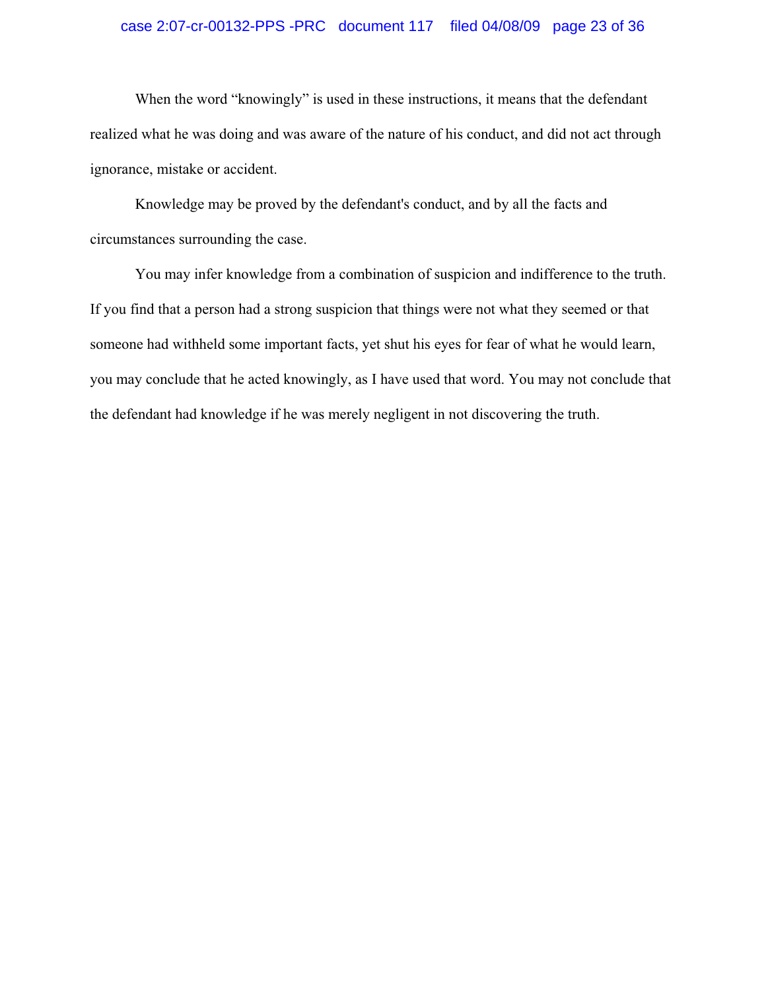## case 2:07-cr-00132-PPS -PRC document 117 filed 04/08/09 page 23 of 36

When the word "knowingly" is used in these instructions, it means that the defendant realized what he was doing and was aware of the nature of his conduct, and did not act through ignorance, mistake or accident.

Knowledge may be proved by the defendant's conduct, and by all the facts and circumstances surrounding the case.

You may infer knowledge from a combination of suspicion and indifference to the truth. If you find that a person had a strong suspicion that things were not what they seemed or that someone had withheld some important facts, yet shut his eyes for fear of what he would learn, you may conclude that he acted knowingly, as I have used that word. You may not conclude that the defendant had knowledge if he was merely negligent in not discovering the truth.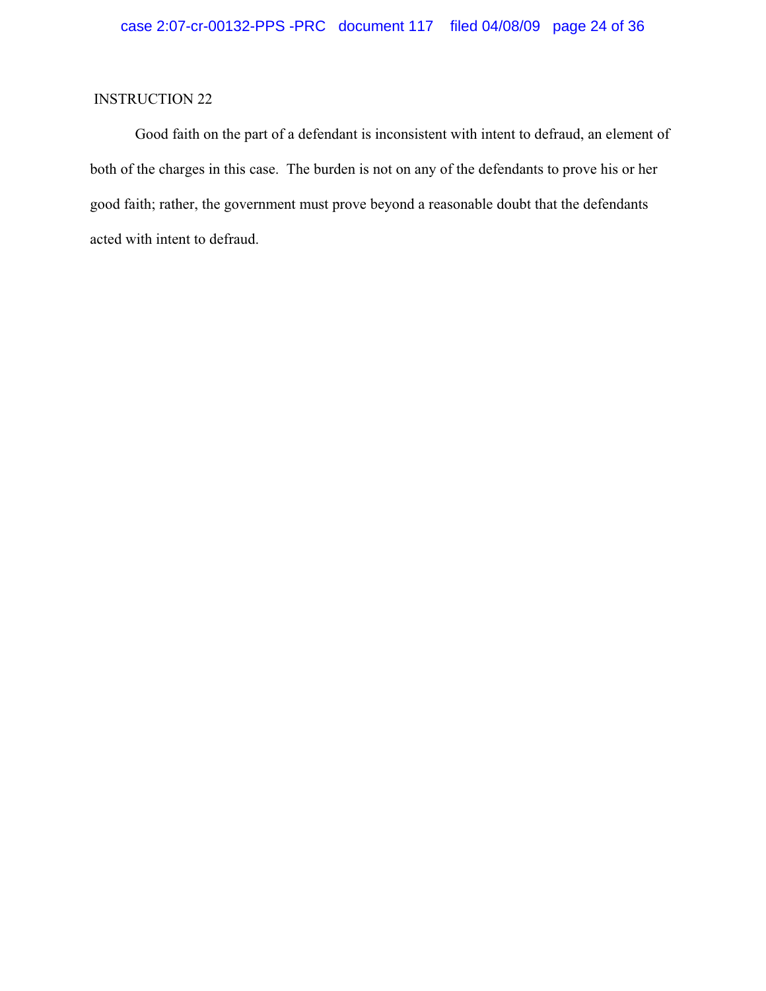Good faith on the part of a defendant is inconsistent with intent to defraud, an element of both of the charges in this case. The burden is not on any of the defendants to prove his or her good faith; rather, the government must prove beyond a reasonable doubt that the defendants acted with intent to defraud.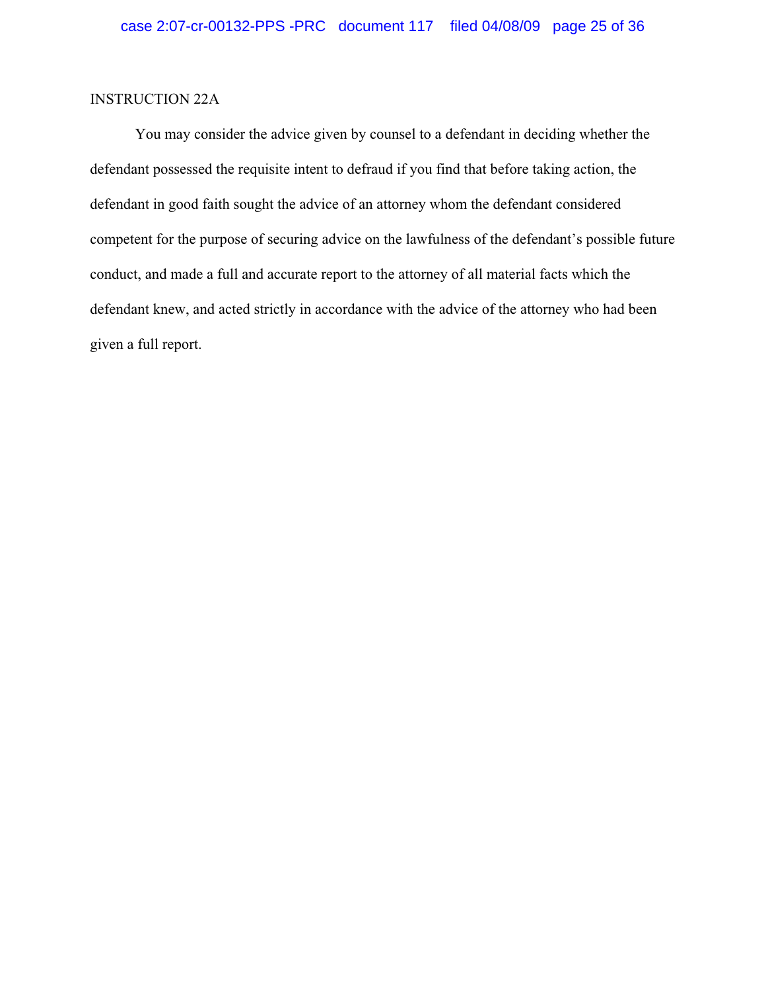### INSTRUCTION 22A

You may consider the advice given by counsel to a defendant in deciding whether the defendant possessed the requisite intent to defraud if you find that before taking action, the defendant in good faith sought the advice of an attorney whom the defendant considered competent for the purpose of securing advice on the lawfulness of the defendant's possible future conduct, and made a full and accurate report to the attorney of all material facts which the defendant knew, and acted strictly in accordance with the advice of the attorney who had been given a full report.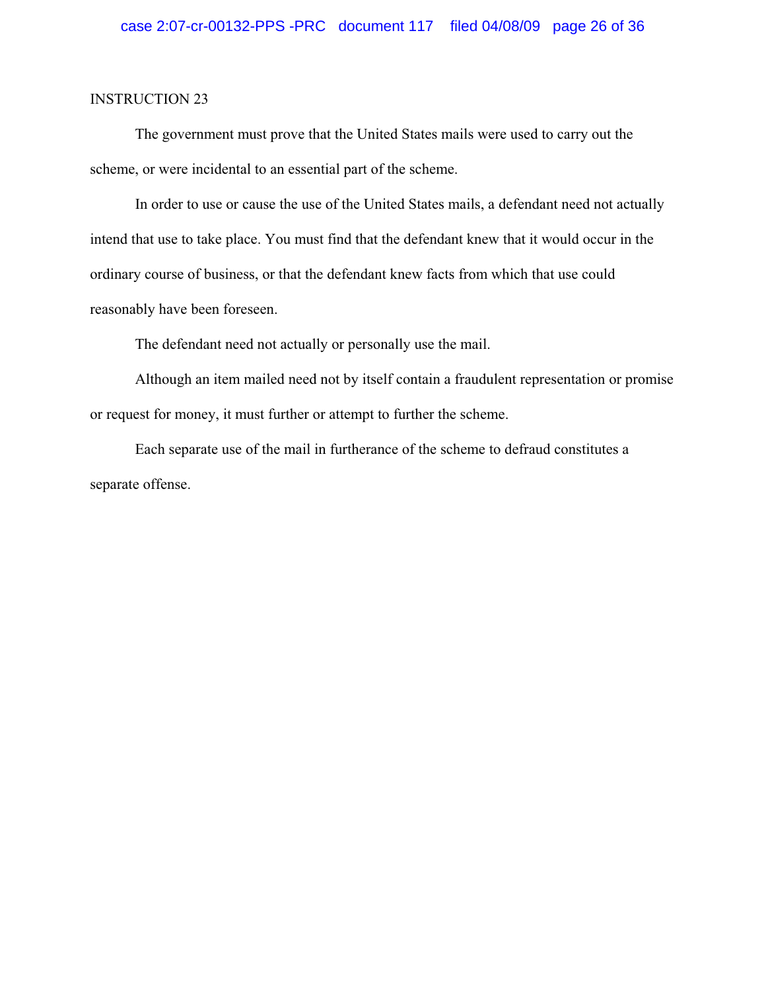The government must prove that the United States mails were used to carry out the scheme, or were incidental to an essential part of the scheme.

In order to use or cause the use of the United States mails, a defendant need not actually intend that use to take place. You must find that the defendant knew that it would occur in the ordinary course of business, or that the defendant knew facts from which that use could reasonably have been foreseen.

The defendant need not actually or personally use the mail.

Although an item mailed need not by itself contain a fraudulent representation or promise or request for money, it must further or attempt to further the scheme.

Each separate use of the mail in furtherance of the scheme to defraud constitutes a separate offense.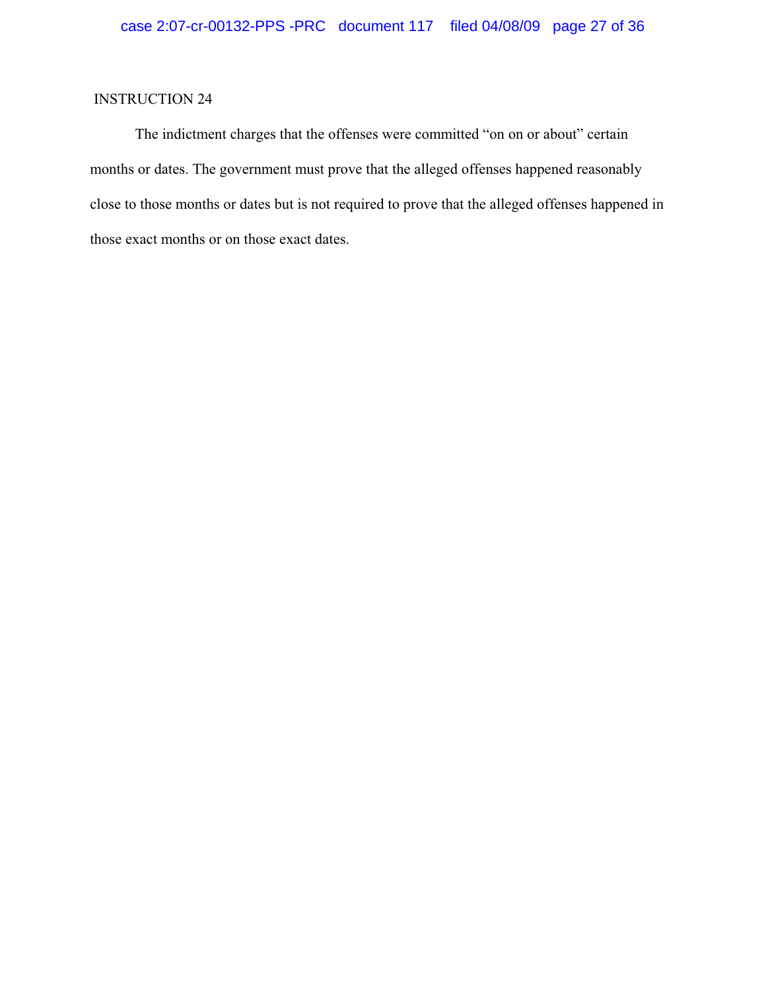The indictment charges that the offenses were committed "on on or about" certain months or dates. The government must prove that the alleged offenses happened reasonably close to those months or dates but is not required to prove that the alleged offenses happened in those exact months or on those exact dates.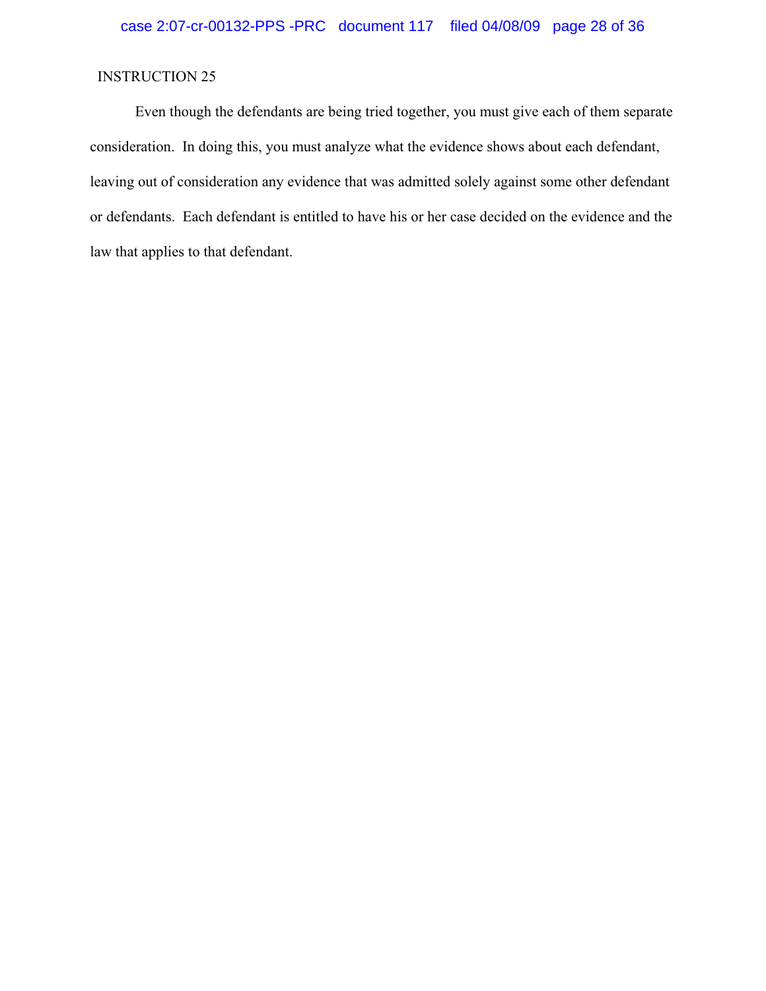Even though the defendants are being tried together, you must give each of them separate consideration. In doing this, you must analyze what the evidence shows about each defendant, leaving out of consideration any evidence that was admitted solely against some other defendant or defendants. Each defendant is entitled to have his or her case decided on the evidence and the law that applies to that defendant.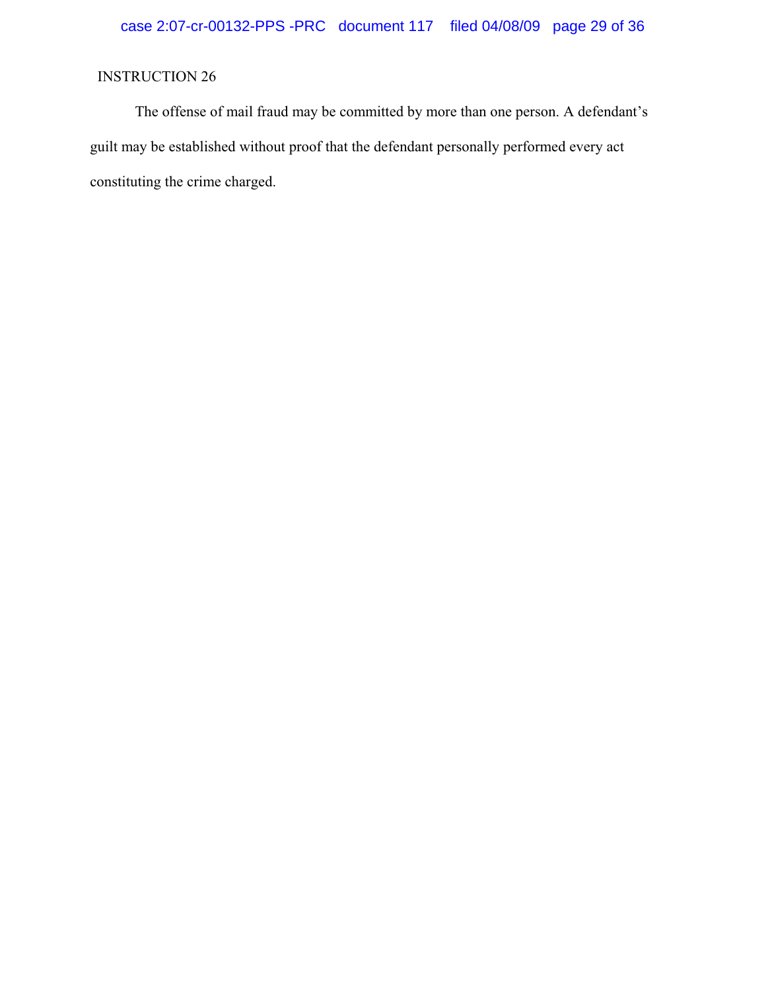The offense of mail fraud may be committed by more than one person. A defendant's guilt may be established without proof that the defendant personally performed every act constituting the crime charged.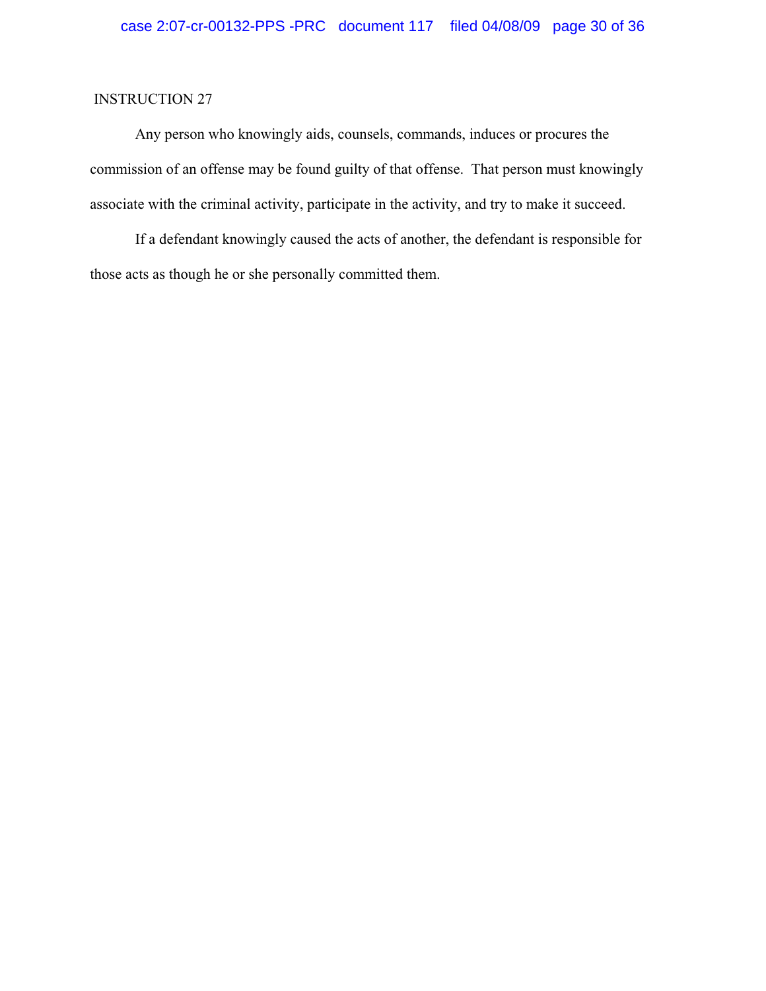Any person who knowingly aids, counsels, commands, induces or procures the commission of an offense may be found guilty of that offense. That person must knowingly associate with the criminal activity, participate in the activity, and try to make it succeed.

If a defendant knowingly caused the acts of another, the defendant is responsible for those acts as though he or she personally committed them.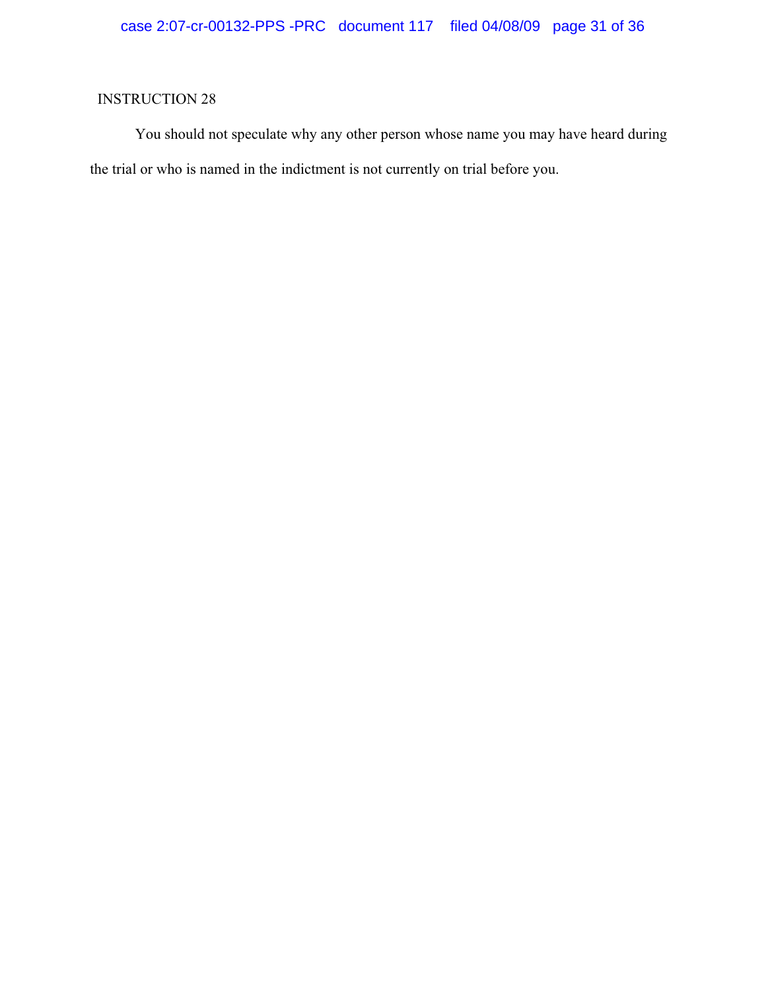You should not speculate why any other person whose name you may have heard during the trial or who is named in the indictment is not currently on trial before you.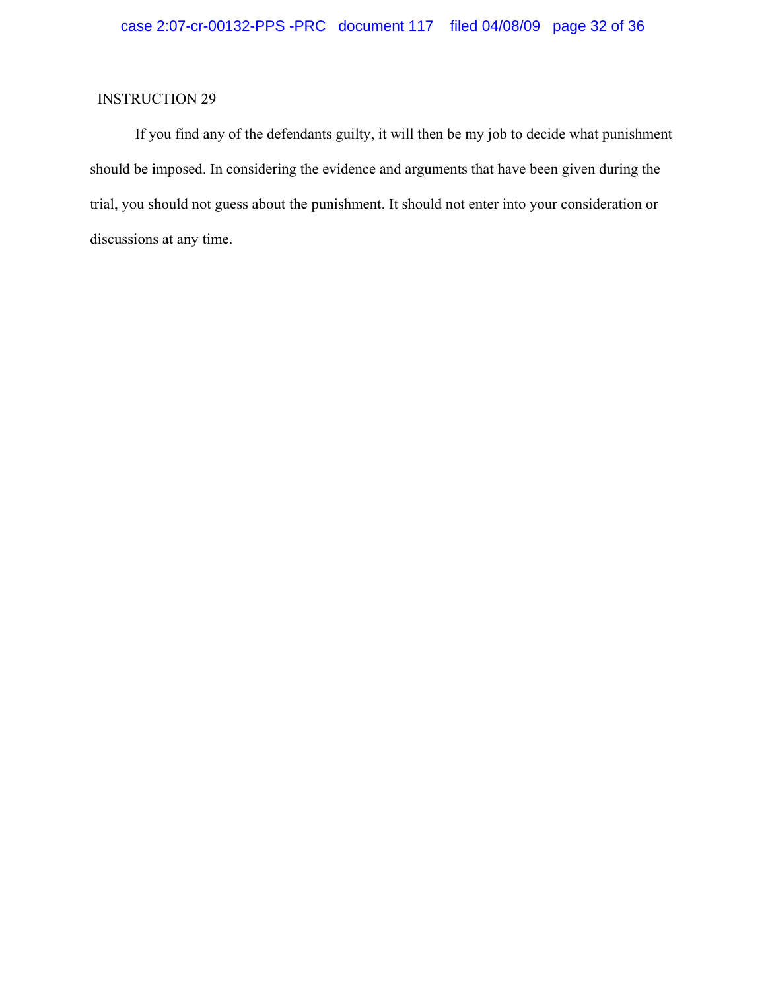If you find any of the defendants guilty, it will then be my job to decide what punishment should be imposed. In considering the evidence and arguments that have been given during the trial, you should not guess about the punishment. It should not enter into your consideration or discussions at any time.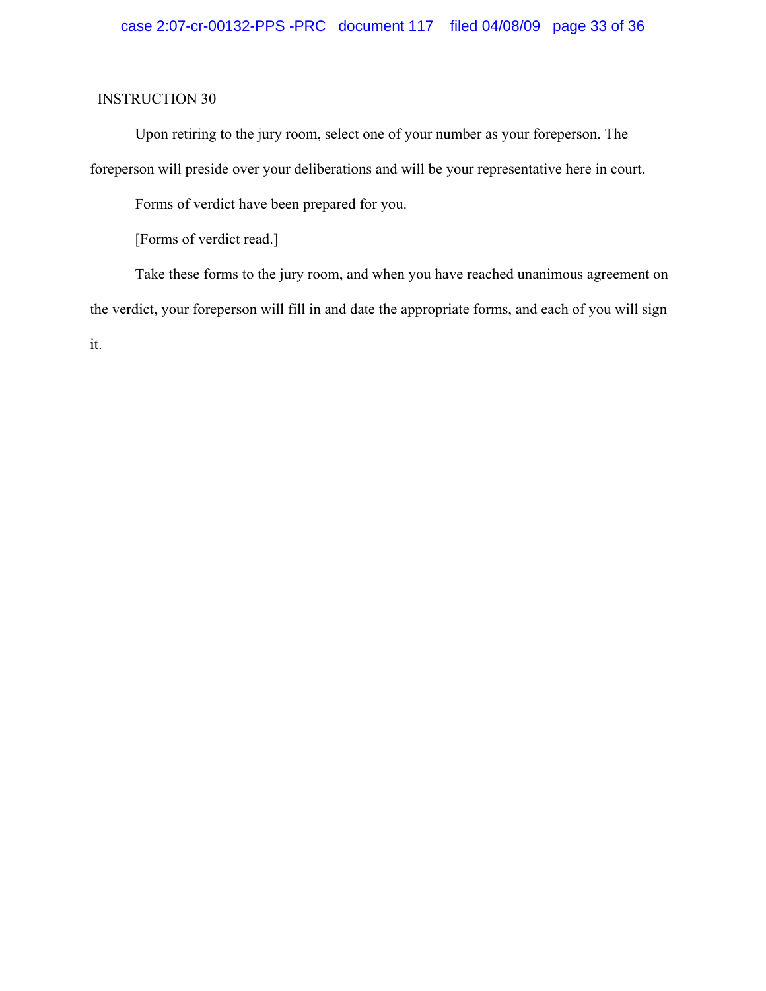Upon retiring to the jury room, select one of your number as your foreperson. The foreperson will preside over your deliberations and will be your representative here in court.

Forms of verdict have been prepared for you.

[Forms of verdict read.]

Take these forms to the jury room, and when you have reached unanimous agreement on the verdict, your foreperson will fill in and date the appropriate forms, and each of you will sign it.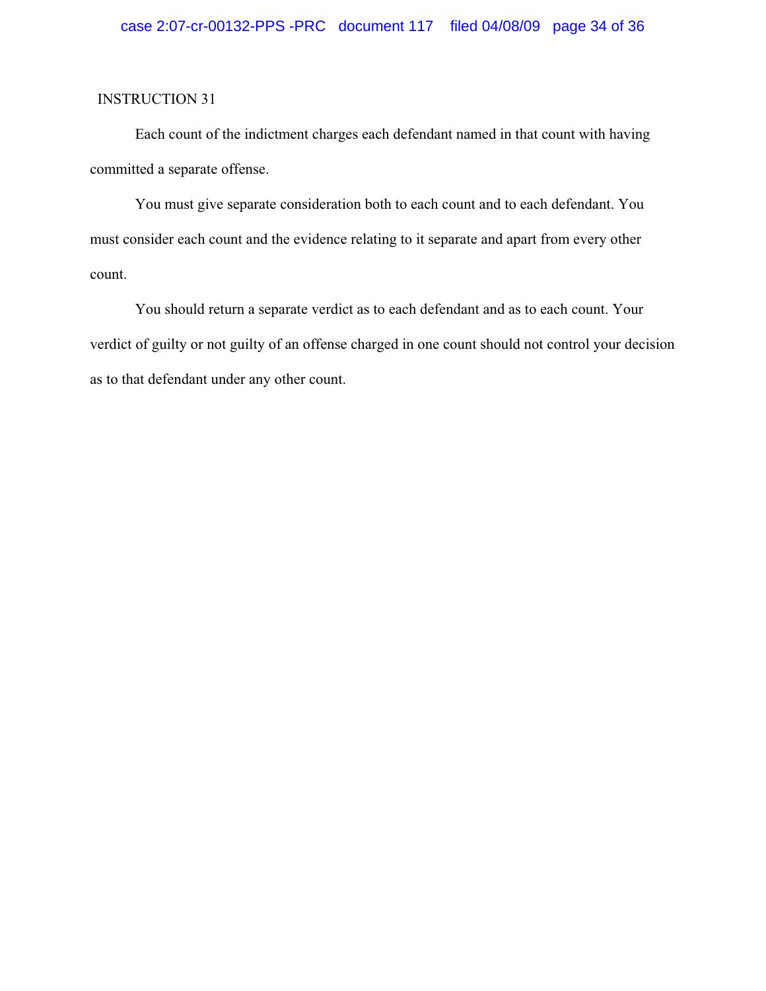Each count of the indictment charges each defendant named in that count with having committed a separate offense.

You must give separate consideration both to each count and to each defendant. You must consider each count and the evidence relating to it separate and apart from every other count.

You should return a separate verdict as to each defendant and as to each count. Your verdict of guilty or not guilty of an offense charged in one count should not control your decision as to that defendant under any other count.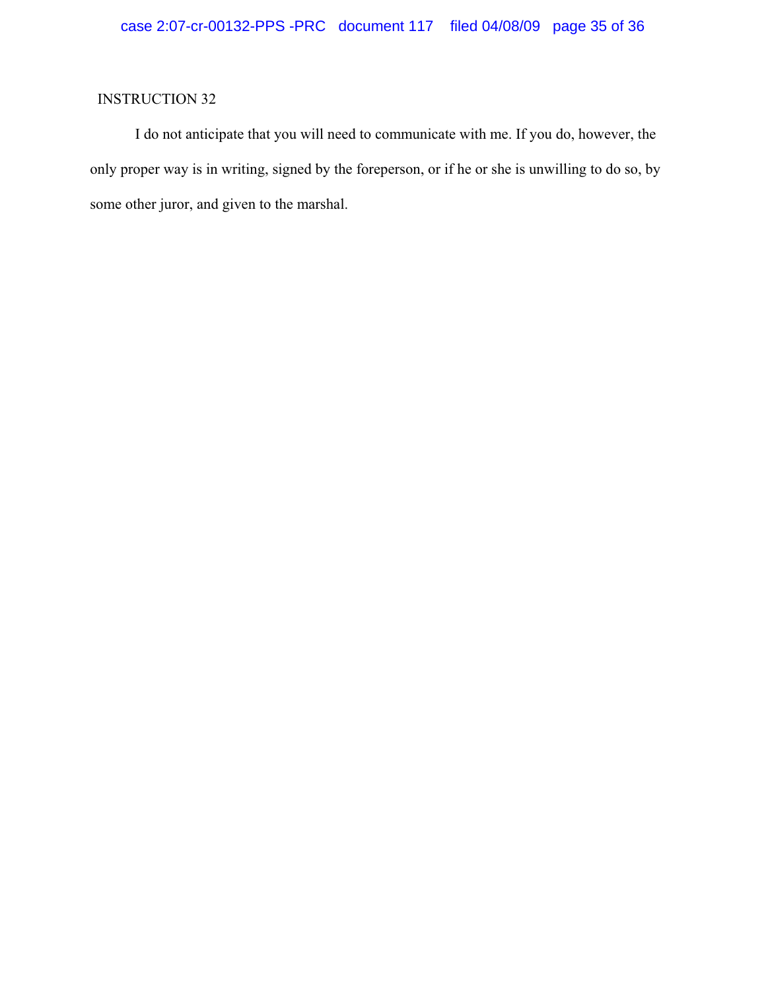I do not anticipate that you will need to communicate with me. If you do, however, the only proper way is in writing, signed by the foreperson, or if he or she is unwilling to do so, by some other juror, and given to the marshal.